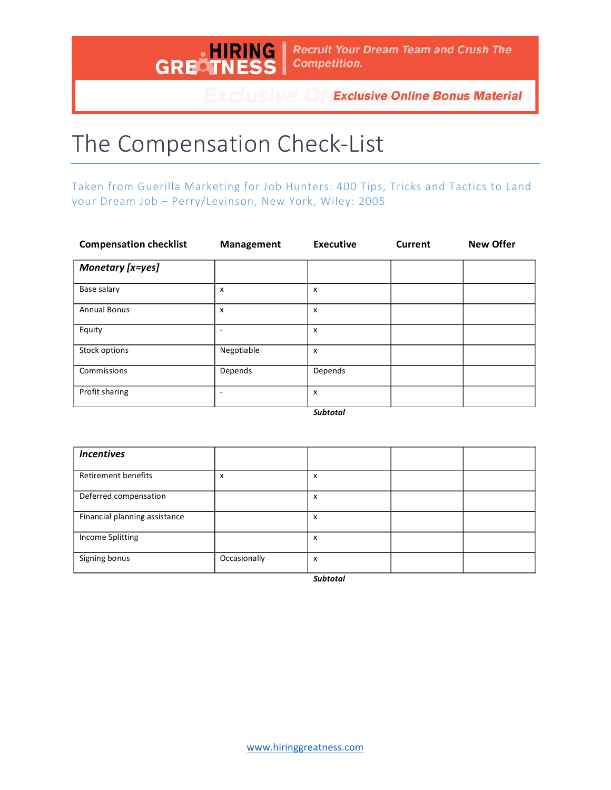

**Exclusive Online Bonus Material** 

## The Compensation Check-List

Taken from Guerilla Marketing for Job Hunters: 400 Tips, Tricks and Tactics to Land your Dream Job - Perry/Levinson, New York, Wiley: 2005

| <b>Compensation checklist</b> | <b>Management</b> | <b>Executive</b> | Current | <b>New Offer</b> |
|-------------------------------|-------------------|------------------|---------|------------------|
| Monetary [x=yes]              |                   |                  |         |                  |
| Base salary                   | х                 | x                |         |                  |
| <b>Annual Bonus</b>           | x                 | x                |         |                  |
| Equity                        | -                 | x                |         |                  |
| Stock options                 | Negotiable        | x                |         |                  |
| Commissions                   | Depends           | Depends          |         |                  |
| Profit sharing                |                   | x                |         |                  |

*Subtotal*

| <b>Incentives</b>             |              |   |  |
|-------------------------------|--------------|---|--|
| <b>Retirement benefits</b>    | x            | x |  |
| Deferred compensation         |              | X |  |
| Financial planning assistance |              | x |  |
| Income Splitting              |              | x |  |
| Signing bonus                 | Occasionally | x |  |

*Subtotal*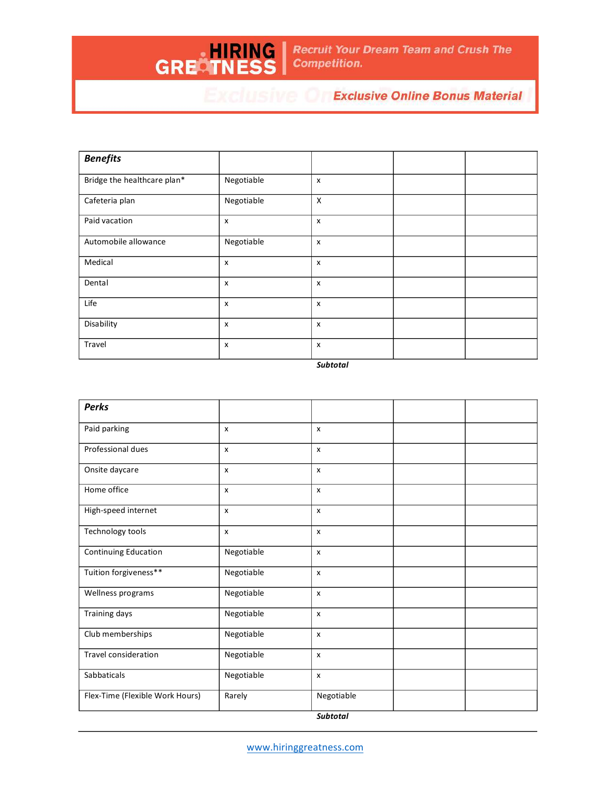**Recruit Your Dream Team and Crush The Competition.** 

## **EXCLUSIVE OF Exclusive Online Bonus Material**

| <b>Benefits</b>             |                           |   |  |
|-----------------------------|---------------------------|---|--|
| Bridge the healthcare plan* | Negotiable                | X |  |
| Cafeteria plan              | Negotiable                | X |  |
| Paid vacation               | X                         | x |  |
| Automobile allowance        | Negotiable                | X |  |
| Medical                     | $\boldsymbol{\mathsf{x}}$ | X |  |
| Dental                      | $\boldsymbol{\mathsf{x}}$ | X |  |
| Life                        | $\boldsymbol{\mathsf{x}}$ | X |  |
| Disability                  | X                         | X |  |
| Travel                      | X                         | X |  |

HIRING<br>GRECTNESS

*Subtotal*

| <b>Perks</b>                    |            |              |  |
|---------------------------------|------------|--------------|--|
| Paid parking                    | X          | X            |  |
| Professional dues               | X          | X            |  |
| Onsite daycare                  | X          | $\mathsf{x}$ |  |
| Home office                     | X          | $\mathsf{x}$ |  |
| High-speed internet             | X          | X            |  |
| Technology tools                | X          | X            |  |
| <b>Continuing Education</b>     | Negotiable | $\mathsf{x}$ |  |
| Tuition forgiveness**           | Negotiable | X            |  |
| Wellness programs               | Negotiable | $\mathsf{x}$ |  |
| Training days                   | Negotiable | X            |  |
| Club memberships                | Negotiable | X            |  |
| Travel consideration            | Negotiable | $\mathsf{x}$ |  |
| Sabbaticals                     | Negotiable | $\mathsf{x}$ |  |
| Flex-Time (Flexible Work Hours) | Rarely     | Negotiable   |  |
|                                 |            | 6.1111       |  |